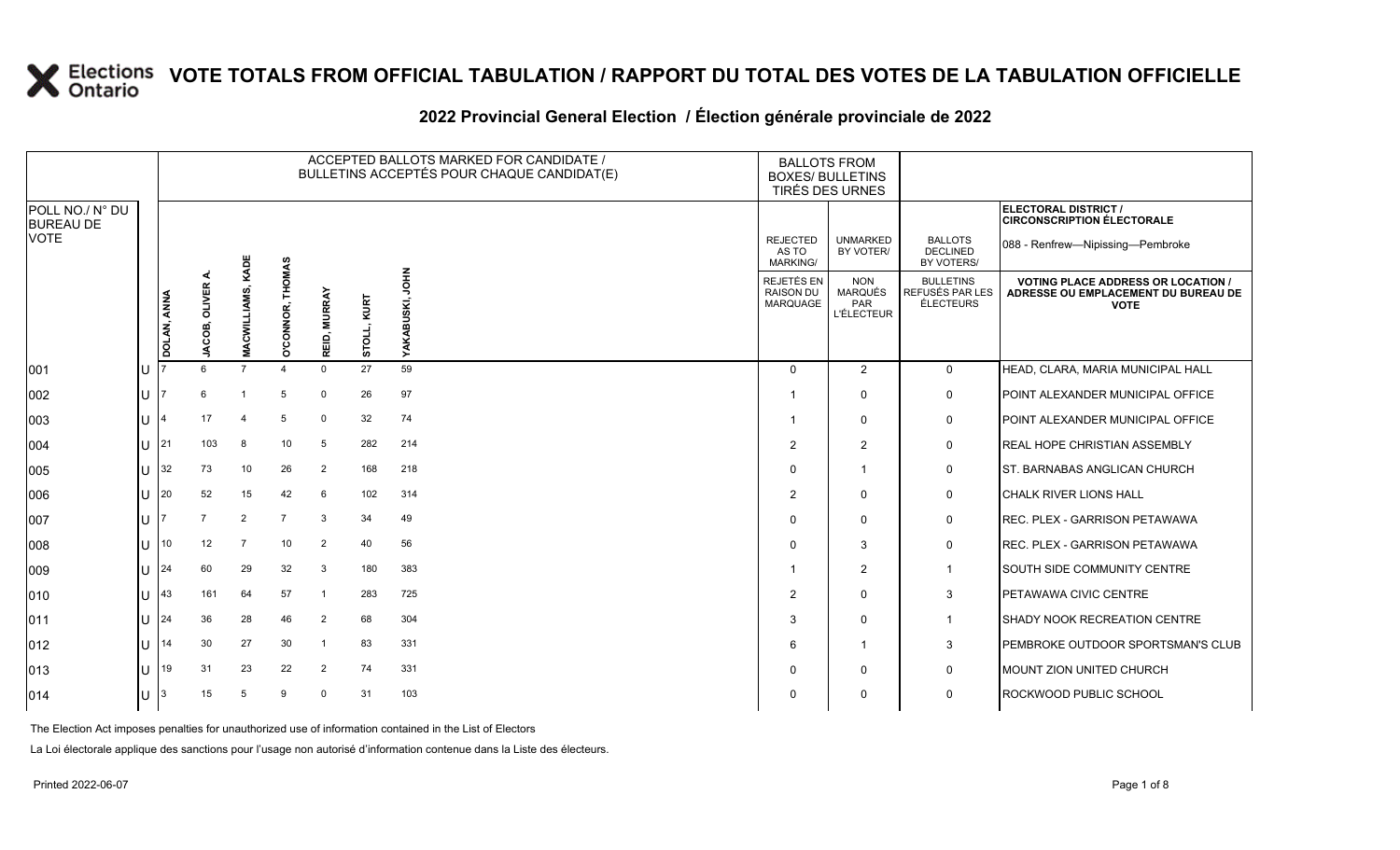#### **2022 Provincial General Election / Élection générale provinciale de 2022**

|                                     |     |             |                  |                     |                       |                                    |                | ACCEPTED BALLOTS MARKED FOR CANDIDATE /<br>BULLETINS ACCEPTÉS POUR CHAQUE CANDIDAT(E) | <b>BALLOTS FROM</b><br><b>BOXES/ BULLETINS</b>    | TIRÉS DES URNES                                          |                                                         |                                                                                                 |
|-------------------------------------|-----|-------------|------------------|---------------------|-----------------------|------------------------------------|----------------|---------------------------------------------------------------------------------------|---------------------------------------------------|----------------------------------------------------------|---------------------------------------------------------|-------------------------------------------------------------------------------------------------|
| POLL NO./ N° DU<br><b>BUREAU DE</b> |     |             |                  |                     |                       |                                    |                |                                                                                       |                                                   |                                                          |                                                         | ELECTORAL DISTRICT /<br><b>CIRCONSCRIPTION ÉLECTORALE</b>                                       |
| <b>VOTE</b>                         |     |             |                  | KADE                |                       |                                    |                |                                                                                       | <b>REJECTED</b><br>AS TO<br>MARKING/              | <b>UNMARKED</b><br>BY VOTER/                             | <b>BALLOTS</b><br><b>DECLINED</b><br>BY VOTERS/         | 088 - Renfrew-Nipissing-Pembroke                                                                |
|                                     |     | DOLAN, ANNA | OLIVER.<br>ACOB, | <b>MACWILLIAMS,</b> | O'CONNOR, THOMAS      | EID, MURRAY<br>$\overline{\alpha}$ | KURT<br>STOLL, | $rac{2}{5}$<br>BUSKI,<br>YAKA                                                         | REJETÉS EN<br><b>RAISON DU</b><br><b>MARQUAGE</b> | <b>NON</b><br><b>MARQUÉS</b><br>PAR<br><b>L'ÉLECTEUR</b> | <b>BULLETINS</b><br>REFUSÉS PAR LES<br><b>ÉLECTEURS</b> | <b>VOTING PLACE ADDRESS OR LOCATION /</b><br>ADRESSE OU EMPLACEMENT DU BUREAU DE<br><b>VOTE</b> |
| 001                                 | U   |             |                  | $\overline{7}$      | $\boldsymbol{\Delta}$ | $\mathbf 0$                        | 27             | 59                                                                                    | $\Omega$                                          | 2                                                        | $\mathbf 0$                                             | HEAD, CLARA, MARIA MUNICIPAL HALL                                                               |
| 002                                 | lU  |             | 6                |                     | 5                     | $\mathbf 0$                        | 26             | 97                                                                                    |                                                   | $\Omega$                                                 | 0                                                       | POINT ALEXANDER MUNICIPAL OFFICE                                                                |
| 003                                 | ΙU  |             | 17               |                     | 5                     | $\mathbf 0$                        | 32             | 74                                                                                    | -1                                                | $\Omega$                                                 | 0                                                       | POINT ALEXANDER MUNICIPAL OFFICE                                                                |
| 004                                 | U   | 21          | 103              | 8                   | 10 <sup>°</sup>       | 5                                  | 282            | 214                                                                                   | $\overline{2}$                                    | 2                                                        | 0                                                       | <b>REAL HOPE CHRISTIAN ASSEMBLY</b>                                                             |
| 005                                 | ΠT  | 32          | 73               | 10                  | 26                    | 2                                  | 168            | 218                                                                                   | $\Omega$                                          |                                                          | 0                                                       | ST. BARNABAS ANGLICAN CHURCH                                                                    |
| 006                                 | U   | 20          | 52               | 15                  | 42                    | 6                                  | 102            | 314                                                                                   | $\overline{2}$                                    | $\Omega$                                                 | 0                                                       | CHALK RIVER LIONS HALL                                                                          |
| 007                                 | lΗ  |             | $\overline{7}$   | 2                   | $\overline{7}$        | $\mathbf{3}$                       | 34             | 49                                                                                    | $\Omega$                                          | $\Omega$                                                 | $\mathbf 0$                                             | REC. PLEX - GARRISON PETAWAWA                                                                   |
| 008                                 | ΠT  | 10          | 12               | $\overline{7}$      | 10                    | $\overline{2}$                     | 40             | 56                                                                                    | $\Omega$                                          | 3                                                        | 0                                                       | REC. PLEX - GARRISON PETAWAWA                                                                   |
| 009                                 | ΠT  | 24          | 60               | 29                  | 32                    | $\mathbf{3}$                       | 180            | 383                                                                                   | -1                                                | 2                                                        | $\mathbf{1}$                                            | SOUTH SIDE COMMUNITY CENTRE                                                                     |
| 010                                 | ΠT  | 43          | 161              | 64                  | 57                    | $\overline{1}$                     | 283            | 725                                                                                   | $\overline{2}$                                    | $\Omega$                                                 | 3                                                       | PETAWAWA CIVIC CENTRE                                                                           |
| 011                                 | U   | 24          | 36               | 28                  | 46                    | $\overline{2}$                     | 68             | 304                                                                                   | 3                                                 | $\Omega$                                                 | $\mathbf{1}$                                            | SHADY NOOK RECREATION CENTRE                                                                    |
| $ 012\rangle$                       | ΙU  | 14          | 30               | 27                  | 30                    | $\mathbf{1}$                       | 83             | 331                                                                                   | 6                                                 | -1                                                       | 3                                                       | PEMBROKE OUTDOOR SPORTSMAN'S CLUB                                                               |
| 013                                 | lΗ  | 19          | 31               | 23                  | 22                    | $\overline{2}$                     | 74             | 331                                                                                   | $\Omega$                                          | $\Omega$                                                 | $\mathbf 0$                                             | <b>MOUNT ZION UNITED CHURCH</b>                                                                 |
| $ 014\rangle$                       | IU. | 3           | 15               | 5                   | 9                     | $\Omega$                           | 31             | 103                                                                                   | $\Omega$                                          | $\Omega$                                                 | 0                                                       | ROCKWOOD PUBLIC SCHOOL                                                                          |

The Election Act imposes penalties for unauthorized use of information contained in the List of Electors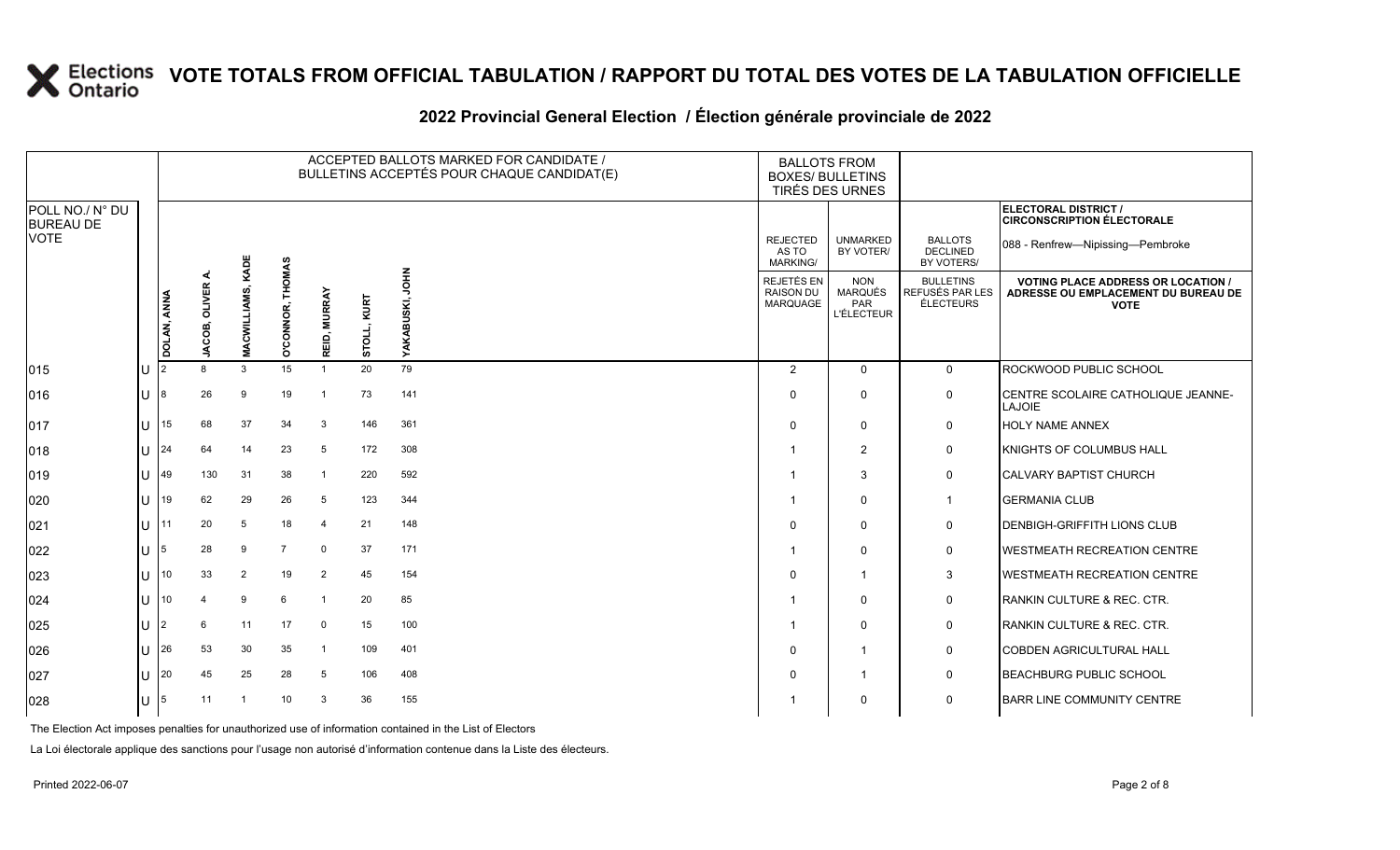#### **2022 Provincial General Election / Élection générale provinciale de 2022**

|                                     |     |                |               |                   |                  |                |                | ACCEPTED BALLOTS MARKED FOR CANDIDATE /<br>BULLETINS ACCEPTÉS POUR CHAQUE CANDIDAT(E) | <b>BALLOTS FROM</b><br><b>BOXES/ BULLETINS</b><br>TIRÉS DES URNES |                                                          |                                                         |                                                                                                 |
|-------------------------------------|-----|----------------|---------------|-------------------|------------------|----------------|----------------|---------------------------------------------------------------------------------------|-------------------------------------------------------------------|----------------------------------------------------------|---------------------------------------------------------|-------------------------------------------------------------------------------------------------|
| POLL NO./ N° DU<br><b>BUREAU DE</b> |     |                |               |                   |                  |                |                |                                                                                       |                                                                   |                                                          |                                                         | ELECTORAL DISTRICT /<br><b>CIRCONSCRIPTION ÉLECTORALE</b>                                       |
| <b>VOTE</b>                         |     |                |               |                   |                  |                |                |                                                                                       | <b>REJECTED</b><br>AS TO<br><b>MARKING/</b>                       | <b>UNMARKED</b><br>BY VOTER/                             | <b>BALLOTS</b><br><b>DECLINED</b><br>BY VOTERS/         | 088 - Renfrew-Nipissing-Pembroke                                                                |
|                                     |     | DOLAN, ANNA    | JACOB, OLIVER | MACWILLIAMS, KADE | O'CONNOR, THOMAS | REID, MURRAY   | KURT<br>STOLL, | <b>NHOL</b><br>SKI,<br><b>YAKABI</b>                                                  | REJETÉS EN<br><b>RAISON DU</b><br>MARQUAGE                        | <b>NON</b><br>MARQUÉS<br><b>PAR</b><br><b>L'ÉLECTEUR</b> | <b>BULLETINS</b><br>REFUSÉS PAR LES<br><b>ÉLECTEURS</b> | <b>VOTING PLACE ADDRESS OR LOCATION /</b><br>ADRESSE OU EMPLACEMENT DU BUREAU DE<br><b>VOTE</b> |
| $ 015\rangle$                       | Iυ  | $\overline{2}$ | 8             | 3                 | 15               | $\overline{1}$ | 20             | 79                                                                                    | 2                                                                 | $\overline{0}$                                           | $\mathbf 0$                                             | ROCKWOOD PUBLIC SCHOOL                                                                          |
| 016                                 | lu  |                | 26            | 9                 | 19               | -1             | 73             | 141                                                                                   | $\Omega$                                                          | $\mathbf 0$                                              | $\mathbf 0$                                             | CENTRE SCOLAIRE CATHOLIQUE JEANNE-<br>LAJOIE                                                    |
| 017                                 | ΙU  | 15             | 68            | 37                | 34               | 3              | 146            | 361                                                                                   | $\Omega$                                                          | $\mathbf 0$                                              | $\mathbf 0$                                             | <b>HOLY NAME ANNEX</b>                                                                          |
| 018                                 | Iυ  | 24             | 64            | 14                | 23               | 5              | 172            | 308                                                                                   |                                                                   | 2                                                        | 0                                                       | KNIGHTS OF COLUMBUS HALL                                                                        |
| $ 019\rangle$                       | lu. | 49             | 130           | 31                | 38               | -1             | 220            | 592                                                                                   |                                                                   | 3                                                        | 0                                                       | <b>CALVARY BAPTIST CHURCH</b>                                                                   |
| $ 020\rangle$                       | lu  | 19             | 62            | 29                | 26               | 5              | 123            | 344                                                                                   |                                                                   | $\mathbf 0$                                              | $\overline{1}$                                          | <b>GERMANIA CLUB</b>                                                                            |
| 021                                 | lu  | 11             | 20            | 5                 | 18               | $\overline{4}$ | 21             | 148                                                                                   |                                                                   | $\mathbf 0$                                              | $\mathbf 0$                                             | DENBIGH-GRIFFITH LIONS CLUB                                                                     |
| 022                                 | lu  | 5              | 28            | 9                 | $\overline{7}$   | $\Omega$       | 37             | 171                                                                                   |                                                                   | 0                                                        | 0                                                       | <b>WESTMEATH RECREATION CENTRE</b>                                                              |
| 023                                 | Iп  | 10             | 33            | 2                 | 19               | 2              | 45             | 154                                                                                   | $\Omega$                                                          | -1                                                       | 3                                                       | <b>WESTMEATH RECREATION CENTRE</b>                                                              |
| 024                                 | ΙU  | 10             |               | 9                 | 6                | $\overline{1}$ | 20             | 85                                                                                    |                                                                   | $\mathbf 0$                                              | $\mathbf 0$                                             | RANKIN CULTURE & REC. CTR.                                                                      |
| 025                                 | lu  | 2              | 6             | 11                | 17               | $\Omega$       | 15             | 100                                                                                   |                                                                   | $\mathbf 0$                                              | 0                                                       | RANKIN CULTURE & REC. CTR.                                                                      |
| 026                                 | lu  | 26             | 53            | 30                | 35               | -1             | 109            | 401                                                                                   | $\Omega$                                                          |                                                          | $\mathbf 0$                                             | <b>COBDEN AGRICULTURAL HALL</b>                                                                 |
| 027                                 | lu  | 20             | 45            | 25                | 28               | 5              | 106            | 408                                                                                   | $\Omega$                                                          | $\overline{1}$                                           | $\mathbf 0$                                             | <b>BEACHBURG PUBLIC SCHOOL</b>                                                                  |
| 028                                 | Iυ  | 5              | 11            |                   | 10 <sup>1</sup>  | 3              | 36             | 155                                                                                   |                                                                   | 0                                                        | 0                                                       | <b>BARR LINE COMMUNITY CENTRE</b>                                                               |

The Election Act imposes penalties for unauthorized use of information contained in the List of Electors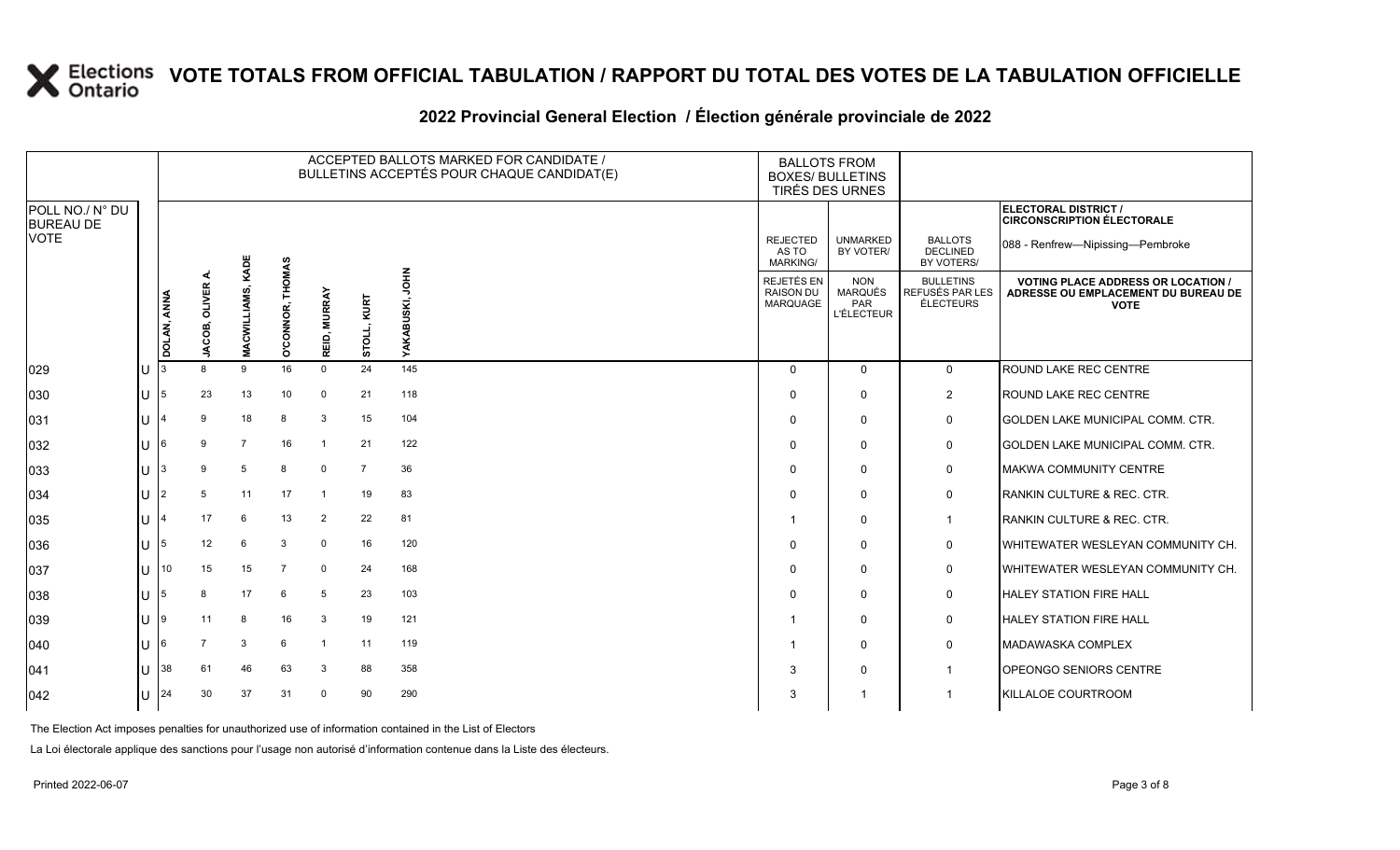#### **2022 Provincial General Election / Élection générale provinciale de 2022**

|                                     |   |                 |                |                |                  |                |                | ACCEPTED BALLOTS MARKED FOR CANDIDATE /<br>BULLETINS ACCEPTÉS POUR CHAQUE CANDIDAT(E) | <b>BOXES/ BULLETINS</b>                     | <b>BALLOTS FROM</b><br>TIRÉS DES URNES                   |                                                  |                                                                                                 |
|-------------------------------------|---|-----------------|----------------|----------------|------------------|----------------|----------------|---------------------------------------------------------------------------------------|---------------------------------------------|----------------------------------------------------------|--------------------------------------------------|-------------------------------------------------------------------------------------------------|
| POLL NO./ N° DU<br><b>BUREAU DE</b> |   |                 |                |                |                  |                |                |                                                                                       |                                             |                                                          |                                                  | ELECTORAL DISTRICT /<br><b>CIRCONSCRIPTION ÉLECTORALE</b>                                       |
| <b>VOTE</b>                         |   |                 |                | KADE           |                  |                |                |                                                                                       | <b>REJECTED</b><br>AS TO<br><b>MARKING/</b> | <b>UNMARKED</b><br>BY VOTER/                             | <b>BALLOTS</b><br><b>DECLINED</b><br>BY VOTERS/  | 088 - Renfrew-Nipissing-Pembroke                                                                |
|                                     |   | DOLAN, ANNA     | JACOB, OLIVER  | MACWILLIAMS,   | O'CONNOR, THOMAS | REID, MURRAY   | KURT<br>STOLL, | $\frac{2}{5}$<br><b>YAKABUSK</b>                                                      | REJETÉS EN<br><b>RAISON DU</b><br>MARQUAGE  | <b>NON</b><br><b>MARQUÉS</b><br>PAR<br><b>L'ÉLECTEUR</b> | <b>BULLETINS</b><br>REFUSÉS PAR LES<br>ÉLECTEURS | <b>VOTING PLACE ADDRESS OR LOCATION /</b><br>ADRESSE OU EMPLACEMENT DU BUREAU DE<br><b>VOTE</b> |
| 029                                 |   |                 | 8              | 9              | 16               | $\mathbf 0$    | 24             | 145                                                                                   | $\Omega$                                    | $\Omega$                                                 | $\mathbf 0$                                      | ROUND LAKE REC CENTRE                                                                           |
| 030                                 |   |                 | 23             | 13             | 10               | $\mathbf 0$    | 21             | 118                                                                                   | <sup>0</sup>                                | $\mathbf 0$                                              | $\overline{2}$                                   | <b>ROUND LAKE REC CENTRE</b>                                                                    |
| 031                                 |   |                 | 9              | 18             | 8                | 3              | 15             | 104                                                                                   | $\Omega$                                    | $\mathbf 0$                                              | 0                                                | <b>GOLDEN LAKE MUNICIPAL COMM. CTR.</b>                                                         |
| 032                                 |   | 16              | 9              | $\overline{7}$ | 16               | -1             | 21             | 122                                                                                   | $\Omega$                                    | $\mathbf 0$                                              | 0                                                | <b>GOLDEN LAKE MUNICIPAL COMM. CTR.</b>                                                         |
| 033                                 |   |                 | 9              | 5              | 8                | $\mathbf 0$    | $\overline{7}$ | 36                                                                                    | $\Omega$                                    | $\mathbf 0$                                              | 0                                                | MAKWA COMMUNITY CENTRE                                                                          |
| 034                                 |   |                 | 5              | 11             | 17               | -1             | 19             | 83                                                                                    | $\Omega$                                    | $\mathbf 0$                                              | $\mathbf 0$                                      | <b>RANKIN CULTURE &amp; REC. CTR.</b>                                                           |
| 035                                 |   |                 | 17             | 6              | 13               | $\overline{2}$ | 22             | 81                                                                                    |                                             | $\mathbf 0$                                              | $\overline{1}$                                   | RANKIN CULTURE & REC. CTR.                                                                      |
| 036                                 |   |                 | 12             | $6\phantom{1}$ | 3                | $\mathbf 0$    | 16             | 120                                                                                   |                                             | $\Omega$                                                 | 0                                                | WHITEWATER WESLEYAN COMMUNITY CH.                                                               |
| 037                                 | U | 10 <sup>°</sup> | 15             | 15             |                  | 0              | 24             | 168                                                                                   | $\Omega$                                    | $\mathbf 0$                                              | $\mathbf 0$                                      | WHITEWATER WESLEYAN COMMUNITY CH.                                                               |
| 038                                 |   | 15              | 8              | 17             | 6                | 5              | 23             | 103                                                                                   |                                             | $\mathbf 0$                                              | 0                                                | <b>HALEY STATION FIRE HALL</b>                                                                  |
| 039                                 |   | 19              | 11             | 8              | 16               | 3              | 19             | 121                                                                                   |                                             | $\mathbf 0$                                              | 0                                                | <b>HALEY STATION FIRE HALL</b>                                                                  |
| 040                                 |   |                 | $\overline{7}$ | 3              | 6                | $\overline{1}$ | 11             | 119                                                                                   |                                             | $\mathbf 0$                                              | 0                                                | MADAWASKA COMPLEX                                                                               |
| 041                                 |   | 38              | 61             | 46             | 63               | 3              | 88             | 358                                                                                   | 3                                           | $\mathbf 0$                                              | $\overline{1}$                                   | <b>OPEONGO SENIORS CENTRE</b>                                                                   |
| 042                                 |   | 24              | 30             | 37             | 31               | $\mathbf 0$    | 90             | 290                                                                                   | 3                                           | -1                                                       |                                                  | KILLALOE COURTROOM                                                                              |

The Election Act imposes penalties for unauthorized use of information contained in the List of Electors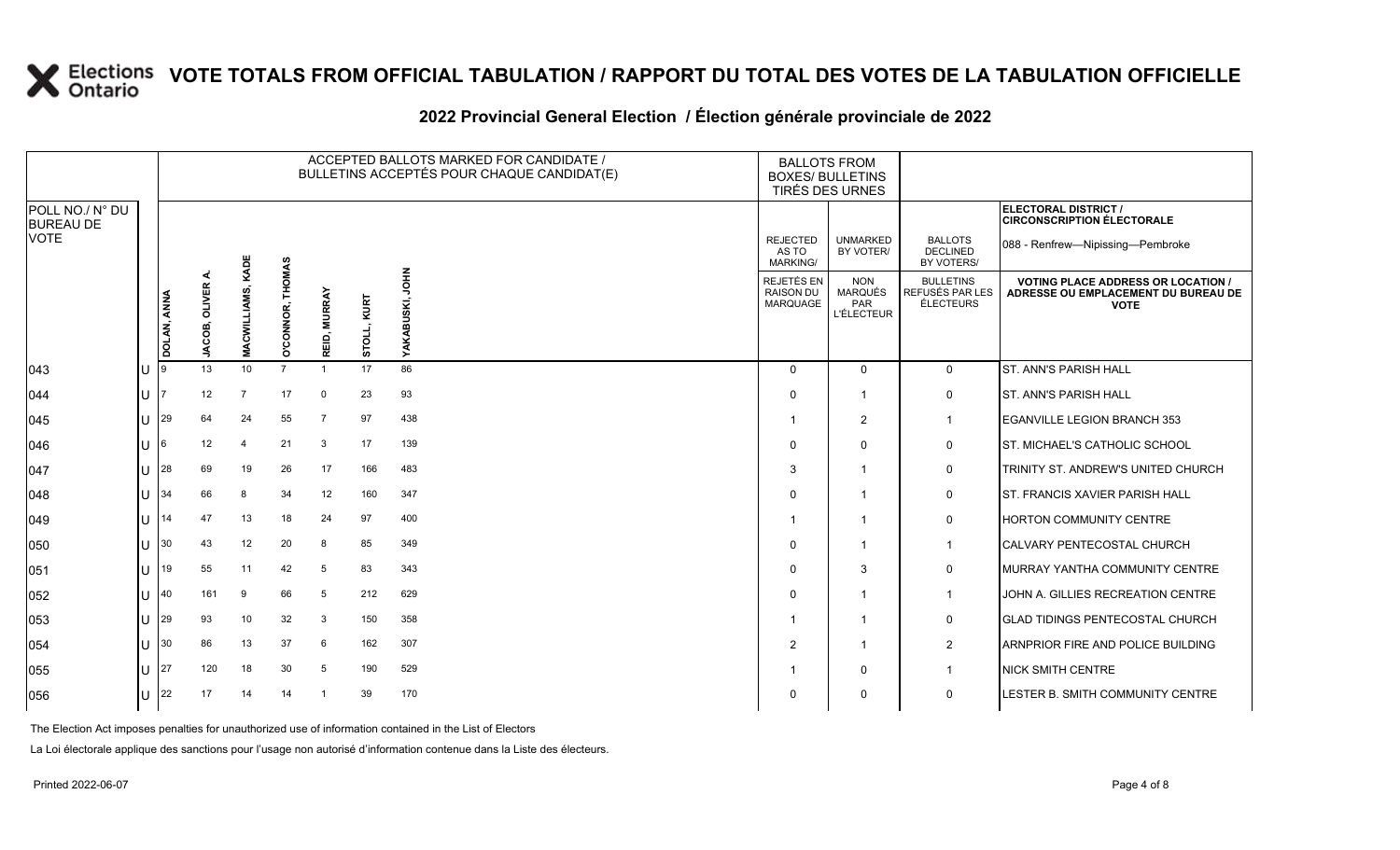#### **2022 Provincial General Election / Élection générale provinciale de 2022**

|                                     |    |             |               |                |                  |                  |                | ACCEPTED BALLOTS MARKED FOR CANDIDATE /<br>BULLETINS ACCEPTÉS POUR CHAQUE CANDIDAT(E) | <b>BALLOTS FROM</b><br><b>BOXES/ BULLETINS</b>    | TIRÉS DES URNES                                                 |                                                  |                                                                                                 |  |
|-------------------------------------|----|-------------|---------------|----------------|------------------|------------------|----------------|---------------------------------------------------------------------------------------|---------------------------------------------------|-----------------------------------------------------------------|--------------------------------------------------|-------------------------------------------------------------------------------------------------|--|
| POLL NO./ N° DU<br><b>BUREAU DE</b> |    |             |               |                |                  |                  |                |                                                                                       |                                                   |                                                                 |                                                  | ELECTORAL DISTRICT /<br><b>CIRCONSCRIPTION ÉLECTORALE</b>                                       |  |
| <b>VOTE</b>                         |    |             |               | KADE           |                  |                  |                |                                                                                       | <b>REJECTED</b><br>AS TO<br><b>MARKING/</b>       | <b>UNMARKED</b><br>BY VOTER/                                    | <b>BALLOTS</b><br><b>DECLINED</b><br>BY VOTERS/  | 088 - Renfrew-Nipissing-Pembroke                                                                |  |
|                                     |    | DOLAN, ANNA | JACOB, OLIVER | MACWILLIAMS,   | O'CONNOR, THOMAS | EID, MURRAY<br>œ | KURT<br>STOLL, | <b>NHOL</b><br>YAKABUSKI,                                                             | <b>REJETÉS EN</b><br><b>RAISON DU</b><br>MARQUAGE | <b>NON</b><br><b>MARQUÉS</b><br><b>PAR</b><br><b>L'ÉLECTEUR</b> | <b>BULLETINS</b><br>REFUSÉS PAR LES<br>ÉLECTEURS | <b>VOTING PLACE ADDRESS OR LOCATION /</b><br>ADRESSE OU EMPLACEMENT DU BUREAU DE<br><b>VOTE</b> |  |
| $ 043\rangle$                       | Iυ |             | 13            | 10             | $\overline{7}$   | -1               | 17             | 86                                                                                    | $\Omega$                                          | $\mathbf{0}$                                                    | $\mathbf{0}$                                     | <b>ST. ANN'S PARISH HALL</b>                                                                    |  |
| $ 044\rangle$                       | lU |             | 12            | $\overline{7}$ | 17               | $\mathbf 0$      | 23             | 93                                                                                    | $\Omega$                                          | -1                                                              | 0                                                | <b>ST. ANN'S PARISH HALL</b>                                                                    |  |
| $ 045\rangle$                       | Ш  | 29          | 64            | 24             | 55               | -7               | 97             | 438                                                                                   |                                                   | $\overline{2}$                                                  | $\mathbf{1}$                                     | <b>EGANVILLE LEGION BRANCH 353</b>                                                              |  |
| $ 046\rangle$                       | ΙU |             | 12            | $\overline{4}$ | 21               | 3                | 17             | 139                                                                                   | $\Omega$                                          | $\mathbf 0$                                                     | 0                                                | ST. MICHAEL'S CATHOLIC SCHOOL                                                                   |  |
| 047                                 | lu | 28          | 69            | 19             | 26               | 17               | 166            | 483                                                                                   | 3                                                 | $\overline{\mathbf{1}}$                                         | 0                                                | TRINITY ST. ANDREW'S UNITED CHURCH                                                              |  |
| 048                                 | IП | 34          | 66            | 8              | 34               | 12               | 160            | 347                                                                                   | $\Omega$                                          | $\overline{\mathbf{1}}$                                         | $\mathbf 0$                                      | <b>ST. FRANCIS XAVIER PARISH HALL</b>                                                           |  |
| $ 049\rangle$                       | ΠT | 14          | 47            | 13             | 18               | 24               | 97             | 400                                                                                   |                                                   | - 1                                                             | 0                                                | <b>HORTON COMMUNITY CENTRE</b>                                                                  |  |
| 050                                 | lU | 30          | 43            | 12             | 20               | 8                | 85             | 349                                                                                   | $\Omega$                                          | $\overline{\mathbf{1}}$                                         | $\mathbf{1}$                                     | CALVARY PENTECOSTAL CHURCH                                                                      |  |
| 051                                 | ΙU | 19          | 55            | 11             | 42               | 5                | 83             | 343                                                                                   | $\Omega$                                          | 3                                                               | $\mathbf 0$                                      | MURRAY YANTHA COMMUNITY CENTRE                                                                  |  |
| 052                                 | Ш  | 40          | 161           | 9              | 66               | 5                | 212            | 629                                                                                   | $\Omega$                                          | - 1                                                             | $\overline{1}$                                   | JOHN A. GILLIES RECREATION CENTRE                                                               |  |
| 053                                 | lU | 29          | 93            | 10             | 32               | 3                | 150            | 358                                                                                   |                                                   | -1                                                              | 0                                                | <b>GLAD TIDINGS PENTECOSTAL CHURCH</b>                                                          |  |
| 054                                 | ΙU | 30          | 86            | 13             | 37               | 6                | 162            | 307                                                                                   | 2                                                 | $\overline{1}$                                                  | $\overline{2}$                                   | ARNPRIOR FIRE AND POLICE BUILDING                                                               |  |
| 055                                 | ΙU | 27          | 120           | 18             | 30               | 5                | 190            | 529                                                                                   |                                                   | $\mathbf 0$                                                     | $\mathbf{1}$                                     | <b>NICK SMITH CENTRE</b>                                                                        |  |
| 056                                 | lU | 22          | 17            | 14             | 14               |                  | 39             | 170                                                                                   | $\Omega$                                          | $\mathbf 0$                                                     | $\mathbf 0$                                      | LESTER B. SMITH COMMUNITY CENTRE                                                                |  |

The Election Act imposes penalties for unauthorized use of information contained in the List of Electors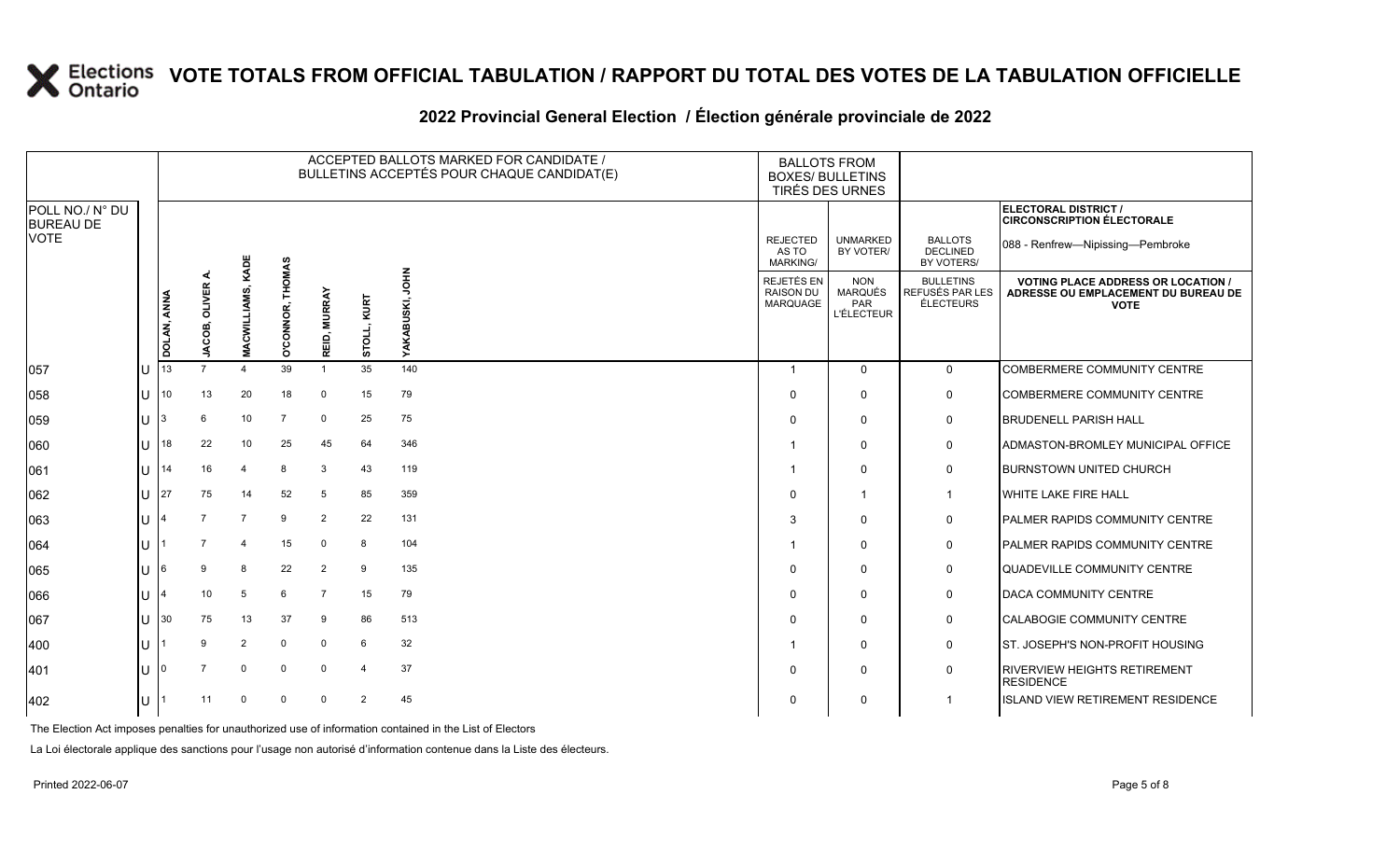#### **2022 Provincial General Election / Élection générale provinciale de 2022**

|                                     |              |                    |                        |                       |                                   |                        |                | ACCEPTED BALLOTS MARKED FOR CANDIDATE /<br>BULLETINS ACCEPTÉS POUR CHAQUE CANDIDAT(E) | <b>BALLOTS FROM</b><br><b>BOXES/ BULLETINS</b><br>TIRÉS DES URNES |                                                          |                                                  |                                                                                                 |
|-------------------------------------|--------------|--------------------|------------------------|-----------------------|-----------------------------------|------------------------|----------------|---------------------------------------------------------------------------------------|-------------------------------------------------------------------|----------------------------------------------------------|--------------------------------------------------|-------------------------------------------------------------------------------------------------|
| POLL NO./ N° DU<br><b>BUREAU DE</b> |              |                    |                        |                       |                                   |                        |                |                                                                                       |                                                                   |                                                          |                                                  | ELECTORAL DISTRICT /<br><b>CIRCONSCRIPTION ÉLECTORALE</b>                                       |
| <b>VOTE</b>                         |              |                    |                        | KADE                  |                                   |                        |                |                                                                                       | <b>REJECTED</b><br>AS TO<br><b>MARKING/</b>                       | <b>UNMARKED</b><br>BY VOTER/                             | <b>BALLOTS</b><br><b>DECLINED</b><br>BY VOTERS/  | 088 - Renfrew-Nipissing-Pembroke                                                                |
|                                     |              | <b>DOLAN, ANNA</b> | <b>OLIVER</b><br>ACOB, | MACWILLIAM            | <b>THOMAS</b><br><b>O'CONNOR,</b> | <b>MURRAY</b><br>REID, | KURT<br>STOLL, | <b>NHOL</b><br>YAKABUSKI,                                                             | REJETÉS EN<br><b>RAISON DU</b><br>MARQUAGE                        | <b>NON</b><br><b>MARQUÉS</b><br>PAR<br><b>L'ÉLECTEUR</b> | <b>BULLETINS</b><br>REFUSÉS PAR LES<br>ÉLECTEURS | <b>VOTING PLACE ADDRESS OR LOCATION /</b><br>ADRESSE OU EMPLACEMENT DU BUREAU DE<br><b>VOTE</b> |
| 057                                 | $\cup$       | 13                 | ∍                      | $\boldsymbol{\Delta}$ | 39                                | $\overline{1}$         | 35             | 140                                                                                   | -1                                                                | $\Omega$                                                 | $\mathbf 0$                                      | COMBERMERE COMMUNITY CENTRE                                                                     |
| 058                                 | $\mathbf{U}$ | 10                 | 13                     | 20                    | 18                                | $\mathbf 0$            | 15             | 79                                                                                    | $\Omega$                                                          | $\mathbf{0}$                                             | 0                                                | <b>COMBERMERE COMMUNITY CENTRE</b>                                                              |
| 059                                 | ΙU           | l3                 | 6                      | 10                    | $\overline{7}$                    | $\mathbf 0$            | 25             | 75                                                                                    | $\Omega$                                                          | $\mathbf{0}$                                             | 0                                                | <b>BRUDENELL PARISH HALL</b>                                                                    |
| 060                                 | U            | 18                 | 22                     | 10                    | 25                                | 45                     | 64             | 346                                                                                   |                                                                   | $\Omega$                                                 | 0                                                | ADMASTON-BROMLEY MUNICIPAL OFFICE                                                               |
| 061                                 | lU           | 114                | 16                     | 4                     | 8                                 | 3                      | 43             | 119                                                                                   |                                                                   | $\mathbf{0}$                                             | 0                                                | <b>BURNSTOWN UNITED CHURCH</b>                                                                  |
| 062                                 | $\cup$       | 27                 | 75                     | 14                    | 52                                | 5                      | 85             | 359                                                                                   | $\Omega$                                                          |                                                          | $\mathbf 1$                                      | <b>WHITE LAKE FIRE HALL</b>                                                                     |
| 063                                 | U            |                    |                        | $\overline{7}$        | 9                                 | 2                      | 22             | 131                                                                                   | 3                                                                 | $\mathbf{0}$                                             | 0                                                | PALMER RAPIDS COMMUNITY CENTRE                                                                  |
| 064                                 | ΠT           |                    |                        | 4                     | 15                                | $\mathbf 0$            | 8              | 104                                                                                   |                                                                   | $\mathbf{0}$                                             | 0                                                | <b>PALMER RAPIDS COMMUNITY CENTRE</b>                                                           |
| 065                                 | $\mathbf{U}$ | I6                 |                        | 8                     | 22                                | $\overline{2}$         | 9              | 135                                                                                   | $\Omega$                                                          | $\mathbf{0}$                                             | 0                                                | QUADEVILLE COMMUNITY CENTRE                                                                     |
| 066                                 | lU.          |                    | 10                     | 5                     | 6                                 | $\overline{7}$         | 15             | 79                                                                                    | $\Omega$                                                          | $\mathbf{0}$                                             | 0                                                | <b>DACA COMMUNITY CENTRE</b>                                                                    |
| 067                                 | U            | 130                | 75                     | 13                    | 37                                | 9                      | 86             | 513                                                                                   | $\Omega$                                                          | $\mathbf{0}$                                             | 0                                                | <b>CALABOGIE COMMUNITY CENTRE</b>                                                               |
| 400                                 | ΠT           |                    | 9                      | $\overline{2}$        | $\Omega$                          | $\mathbf 0$            | 6              | 32                                                                                    |                                                                   | $\mathbf{0}$                                             | $\mathbf 0$                                      | ST. JOSEPH'S NON-PROFIT HOUSING                                                                 |
| 401                                 | $\mathbf{U}$ |                    |                        | $\mathbf 0$           | $\mathbf 0$                       | $\mathbf 0$            | $\overline{4}$ | 37                                                                                    | $\Omega$                                                          | $\Omega$                                                 | $\mathbf 0$                                      | <b>RIVERVIEW HEIGHTS RETIREMENT</b><br><b>RESIDENCE</b>                                         |
| 402                                 | U            |                    | 11                     | $\mathbf 0$           | $\mathbf 0$                       | $\mathbf 0$            | 2              | 45                                                                                    | $\Omega$                                                          | 0                                                        | $\overline{1}$                                   | <b>ISLAND VIEW RETIREMENT RESIDENCE</b>                                                         |

The Election Act imposes penalties for unauthorized use of information contained in the List of Electors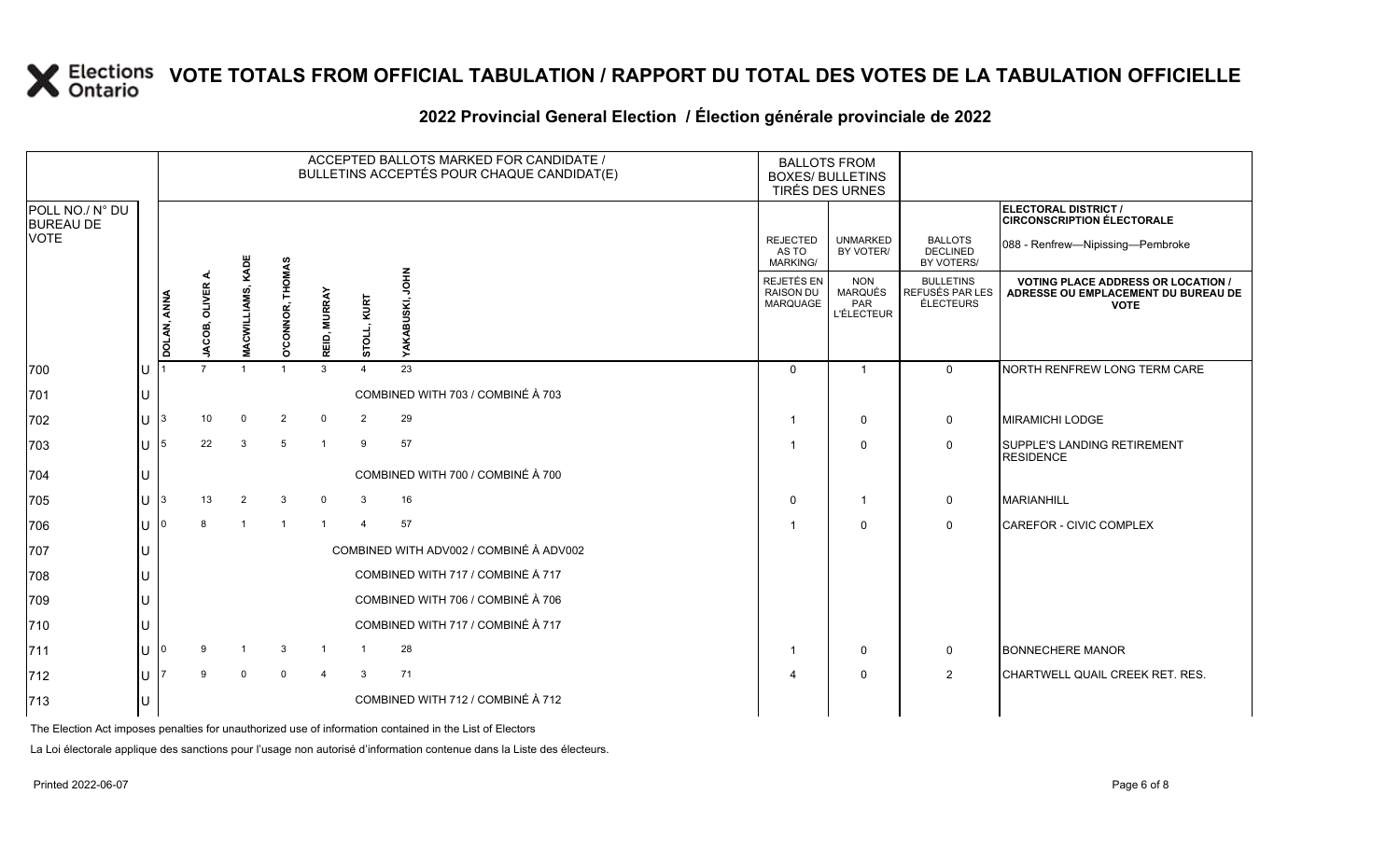#### **2022 Provincial General Election / Élection générale provinciale de 2022**

|                                     |     |             |               |                          |                         |                |                | ACCEPTED BALLOTS MARKED FOR CANDIDATE /<br>BULLETINS ACCEPTÉS POUR CHAQUE CANDIDAT(E) | <b>BOXES/ BULLETINS</b>                    | <b>BALLOTS FROM</b><br>TIRÉS DES URNES            |                                                         |                                                                                                 |
|-------------------------------------|-----|-------------|---------------|--------------------------|-------------------------|----------------|----------------|---------------------------------------------------------------------------------------|--------------------------------------------|---------------------------------------------------|---------------------------------------------------------|-------------------------------------------------------------------------------------------------|
| POLL NO./ N° DU<br><b>BUREAU DE</b> |     |             |               |                          |                         |                |                |                                                                                       |                                            |                                                   |                                                         | ELECTORAL DISTRICT /<br><b>CIRCONSCRIPTION ÉLECTORALE</b>                                       |
| <b>VOTE</b>                         |     |             |               |                          |                         |                |                |                                                                                       | <b>REJECTED</b><br>AS TO<br>MARKING/       | <b>UNMARKED</b><br>BY VOTER/                      | <b>BALLOTS</b><br><b>DECLINED</b><br>BY VOTERS/         | 088 - Renfrew-Nipissing-Pembroke                                                                |
|                                     |     | DOLAN, ANNA | JACOB, OLIVER | <b>MACWILLIAMS, KADE</b> | <b>D'CONNOR, THOMAS</b> | REID, MURRAY   | KURT<br>STOLL, | $\frac{2}{5}$<br>YAKABUSKI,                                                           | REJETÉS EN<br><b>RAISON DU</b><br>MARQUAGE | <b>NON</b><br>MARQUÉS<br>PAR<br><b>L'ÉLECTEUR</b> | <b>BULLETINS</b><br>REFUSÉS PAR LES<br><b>ÉLECTEURS</b> | <b>VOTING PLACE ADDRESS OR LOCATION /</b><br>ADRESSE OU EMPLACEMENT DU BUREAU DE<br><b>VOTE</b> |
| 700                                 | Iυ  |             |               |                          |                         | $\mathbf{3}$   | $\mathbf 4$    | 23                                                                                    | $\Omega$                                   | $\overline{1}$                                    | $\Omega$                                                | NORTH RENFREW LONG TERM CARE                                                                    |
| 701                                 | IU  |             |               |                          |                         |                |                | COMBINED WITH 703 / COMBINÉ À 703                                                     |                                            |                                                   |                                                         |                                                                                                 |
| 702                                 | lu. | 3           | 10            | $\Omega$                 | 2                       | $\mathbf 0$    | $\overline{2}$ | 29                                                                                    |                                            | $\mathbf 0$                                       | 0                                                       | <b>MIRAMICHI LODGE</b>                                                                          |
| 703                                 | lU  | 5           | 22            | $\mathcal{A}$            | 5                       | $\overline{1}$ | 9              | 57                                                                                    |                                            | $\mathbf 0$                                       | $\mathbf 0$                                             | <b>SUPPLE'S LANDING RETIREMENT</b><br><b>RESIDENCE</b>                                          |
| 704                                 | lU  |             |               |                          |                         |                |                | COMBINED WITH 700 / COMBINÉ À 700                                                     |                                            |                                                   |                                                         |                                                                                                 |
| 705                                 | lu  | 3           | 13            | 2                        | 3                       | $\mathbf 0$    | 3              | 16                                                                                    | $\Omega$                                   |                                                   | 0                                                       | <b>MARIANHILL</b>                                                                               |
| 706                                 | lu  |             | 8             |                          | $\overline{1}$          | $\overline{1}$ | $\overline{4}$ | 57                                                                                    |                                            | $\Omega$                                          | $\mathbf 0$                                             | <b>CAREFOR - CIVIC COMPLEX</b>                                                                  |
| 707                                 | lU  |             |               |                          |                         |                |                | COMBINED WITH ADV002 / COMBINÉ À ADV002                                               |                                            |                                                   |                                                         |                                                                                                 |
| 708                                 | lU  |             |               |                          |                         |                |                | COMBINED WITH 717 / COMBINÉ À 717                                                     |                                            |                                                   |                                                         |                                                                                                 |
| 709                                 | lU  |             |               |                          |                         |                |                | COMBINED WITH 706 / COMBINÉ À 706                                                     |                                            |                                                   |                                                         |                                                                                                 |
| 710                                 | IU  |             |               |                          |                         |                |                | COMBINED WITH 717 / COMBINÉ À 717                                                     |                                            |                                                   |                                                         |                                                                                                 |
| 711                                 | ΙU  |             | 9             |                          | 3                       | -1             |                | 28                                                                                    |                                            | $\mathbf 0$                                       | 0                                                       | <b>BONNECHERE MANOR</b>                                                                         |
| 712                                 | ΙU  |             | 9             | $\Omega$                 | $\mathbf 0$             | $\overline{4}$ | 3              | 71                                                                                    |                                            | $\mathbf 0$                                       | $\overline{2}$                                          | CHARTWELL QUAIL CREEK RET. RES.                                                                 |
| 713                                 | lU  |             |               |                          |                         |                |                | COMBINED WITH 712 / COMBINÉ À 712                                                     |                                            |                                                   |                                                         |                                                                                                 |

The Election Act imposes penalties for unauthorized use of information contained in the List of Electors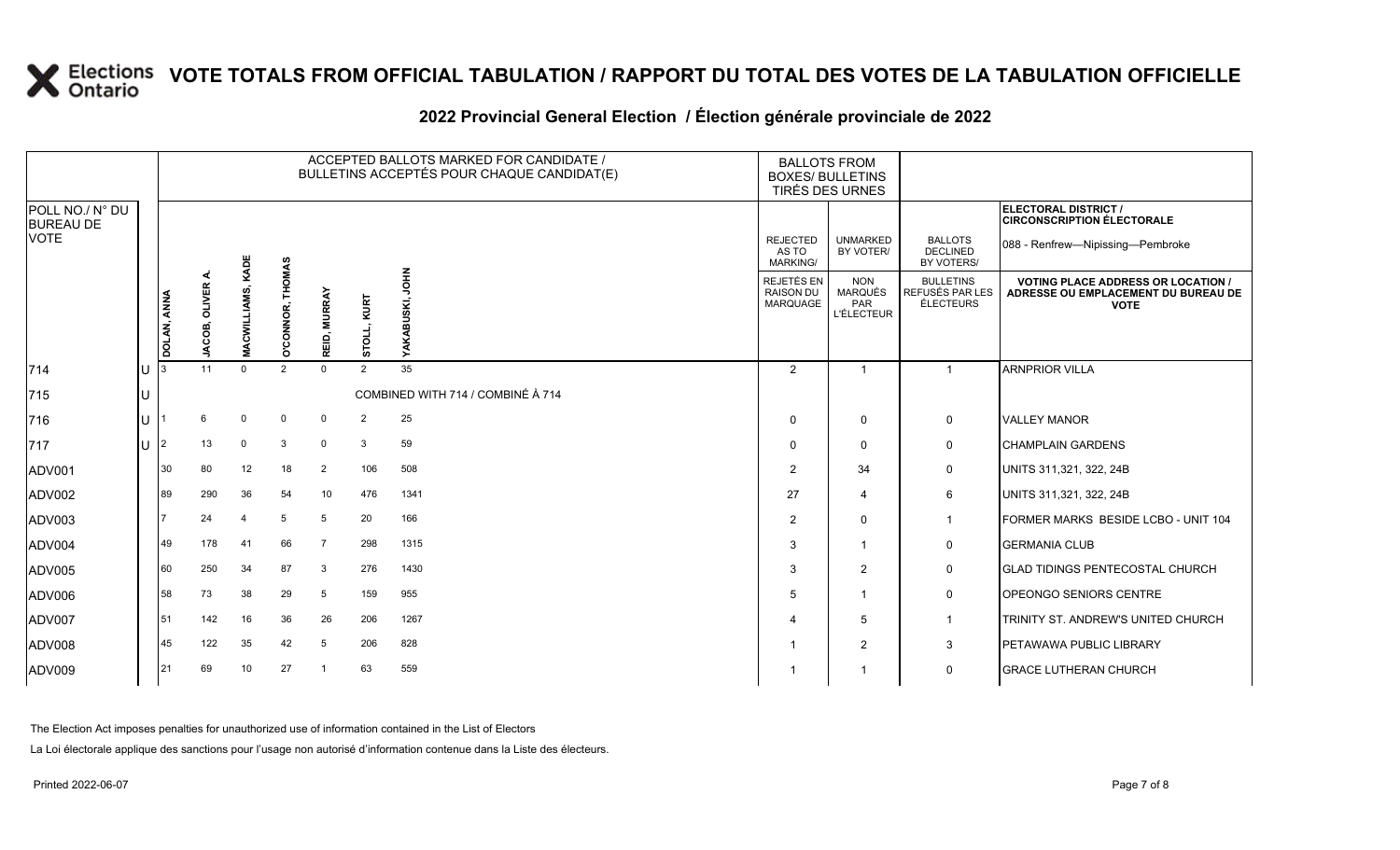| 2022 Provincial General Election / Election générale provinciale de 2022 |  |  |
|--------------------------------------------------------------------------|--|--|

|                                     |    |             |                  |                          |                            |                        |                      | ACCEPTED BALLOTS MARKED FOR CANDIDATE /<br>BULLETINS ACCEPTÉS POUR CHAQUE CANDIDAT(E) | <b>BALLOTS FROM</b><br><b>BOXES/ BULLETINS</b><br>TIRÉS DES URNES |                                                   |                                                  |                                                                                                 |
|-------------------------------------|----|-------------|------------------|--------------------------|----------------------------|------------------------|----------------------|---------------------------------------------------------------------------------------|-------------------------------------------------------------------|---------------------------------------------------|--------------------------------------------------|-------------------------------------------------------------------------------------------------|
| POLL NO./ N° DU<br><b>BUREAU DE</b> |    |             |                  |                          |                            |                        |                      |                                                                                       |                                                                   |                                                   |                                                  | ELECTORAL DISTRICT /<br><b>CIRCONSCRIPTION ÉLECTORALE</b>                                       |
| <b>VOTE</b>                         |    |             |                  |                          |                            |                        |                      |                                                                                       | <b>REJECTED</b><br>AS TO<br><b>MARKING/</b>                       | <b>UNMARKED</b><br>BY VOTER/                      | <b>BALLOTS</b><br><b>DECLINED</b><br>BY VOTERS/  | 088 - Renfrew-Nipissing-Pembroke                                                                |
|                                     |    | DOLAN, ANNA | OLIVER<br>JACOB, | <b>MACWILLIAMS, KADE</b> | <b>THOMAS</b><br>O'CONNOR, | <b>MURRAY</b><br>REID, | KURT<br><b>PLOIT</b> | HIQ<br><b>BUSKI,</b><br>≻                                                             | REJETÉS EN<br><b>RAISON DU</b><br>MARQUAGE                        | <b>NON</b><br>MARQUÉS<br>PAR<br><b>L'ÉLECTEUR</b> | <b>BULLETINS</b><br>REFUSÉS PAR LES<br>ÉLECTEURS | <b>VOTING PLACE ADDRESS OR LOCATION /</b><br>ADRESSE OU EMPLACEMENT DU BUREAU DE<br><b>VOTE</b> |
| $ 714$                              | IU | l 3         | 11               | $\Omega$                 | $\overline{2}$             | $\mathbf 0$            | 2                    | 35                                                                                    | 2                                                                 | $\overline{ }$                                    | $\blacktriangleleft$                             | <b>ARNPRIOR VILLA</b>                                                                           |
| 715                                 | IU |             |                  |                          |                            |                        |                      | COMBINED WITH 714 / COMBINÉ À 714                                                     |                                                                   |                                                   |                                                  |                                                                                                 |
| 716                                 | lu |             | 6                | $\mathbf 0$              | $\mathbf 0$                | $\mathbf 0$            | $\overline{2}$       | 25                                                                                    | $\Omega$                                                          | 0                                                 | 0                                                | <b>VALLEY MANOR</b>                                                                             |
| 717                                 | lu | 12          | 13               | $\mathbf 0$              | 3                          | $\mathbf 0$            | 3                    | 59                                                                                    | $\Omega$                                                          | $\Omega$                                          | 0                                                | <b>CHAMPLAIN GARDENS</b>                                                                        |
| ADV001                              |    | 30          | 80               | 12                       | 18                         | 2                      | 106                  | 508                                                                                   | $\overline{2}$                                                    | 34                                                | 0                                                | UNITS 311,321, 322, 24B                                                                         |
| ADV002                              |    | 89          | 290              | 36                       | 54                         | 10                     | 476                  | 1341                                                                                  | 27                                                                | 4                                                 | 6                                                | UNITS 311,321, 322, 24B                                                                         |
| ADV003                              |    |             | 24               |                          | 5                          | 5                      | 20                   | 166                                                                                   | $\overline{2}$                                                    | $\mathbf 0$                                       | $\mathbf{1}$                                     | FORMER MARKS BESIDE LCBO - UNIT 104                                                             |
| ADV004                              |    | 49          | 178              | 41                       | 66                         | $\overline{7}$         | 298                  | 1315                                                                                  | 3                                                                 |                                                   | 0                                                | <b>GERMANIA CLUB</b>                                                                            |
| ADV005                              |    | 60          | 250              | 34                       | 87                         | 3                      | 276                  | 1430                                                                                  | 3                                                                 | 2                                                 | 0                                                | <b>I</b> GLAD TIDINGS PENTECOSTAL CHURCH                                                        |
| ADV006                              |    | 58          | 73               | 38                       | 29                         | 5                      | 159                  | 955                                                                                   | 5                                                                 |                                                   | $\mathbf 0$                                      | <b>OPEONGO SENIORS CENTRE</b>                                                                   |
| ADV007                              |    | 151         | 142              | 16                       | 36                         | 26                     | 206                  | 1267                                                                                  | $\boldsymbol{\varDelta}$                                          | 5                                                 | 1                                                | TRINITY ST. ANDREW'S UNITED CHURCH                                                              |
| ADV008                              |    | 45          | 122              | 35                       | 42                         | 5                      | 206                  | 828                                                                                   |                                                                   | 2                                                 | 3                                                | PETAWAWA PUBLIC LIBRARY                                                                         |
| ADV009                              |    | 21          | 69               | 10                       | 27                         | $\overline{1}$         | 63                   | 559                                                                                   |                                                                   |                                                   | 0                                                | <b>GRACE LUTHERAN CHURCH</b>                                                                    |

The Election Act imposes penalties for unauthorized use of information contained in the List of Electors